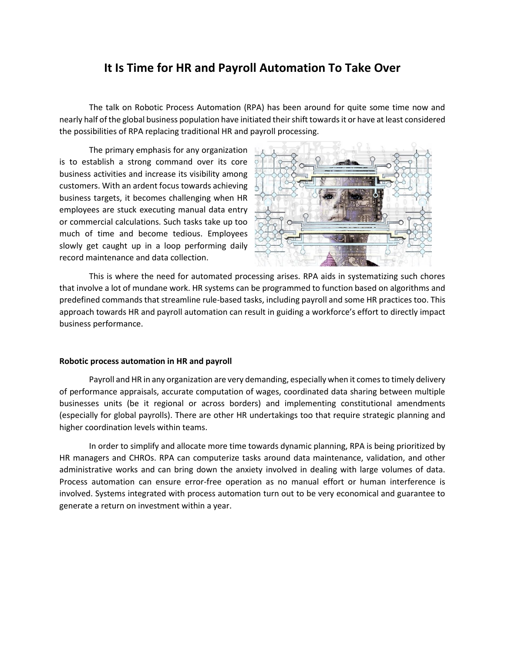## **It Is Time for HR and Payroll Automation To Take Over**

The talk on Robotic Process Automation (RPA) has been around for quite some time now and nearly half of the global business population have initiated their shift towards it or have at least considered the possibilities of RPA replacing traditional HR and payroll processing.

The primary emphasis for any organization is to establish a strong command over its core business activities and increase its visibility among customers. With an ardent focus towards achieving business targets, it becomes challenging when HR employees are stuck executing manual data entry or commercial calculations. Such tasks take up too much of time and become tedious. Employees slowly get caught up in a loop performing daily record maintenance and data collection.



This is where the need for automated processing arises. RPA aids in systematizing such chores that involve a lot of mundane work. HR systems can be programmed to function based on algorithms and predefined commands that streamline rule-based tasks, including payroll and some HR practices too. This approach towards HR and payroll automation can result in guiding a workforce's effort to directly impact business performance.

## **Robotic process automation in HR and payroll**

Payroll and HR in any organization are very demanding, especially when it comes to timely delivery of performance appraisals, accurate computation of wages, coordinated data sharing between multiple businesses units (be it regional or across borders) and implementing constitutional amendments (especially for global payrolls). There are other HR undertakings too that require strategic planning and higher coordination levels within teams.

In order to simplify and allocate more time towards dynamic planning, RPA is being prioritized by HR managers and CHROs. RPA can computerize tasks around data maintenance, validation, and other administrative works and can bring down the anxiety involved in dealing with large volumes of data. Process automation can ensure error-free operation as no manual effort or human interference is involved. Systems integrated with process automation turn out to be very economical and guarantee to generate a return on investment within a year.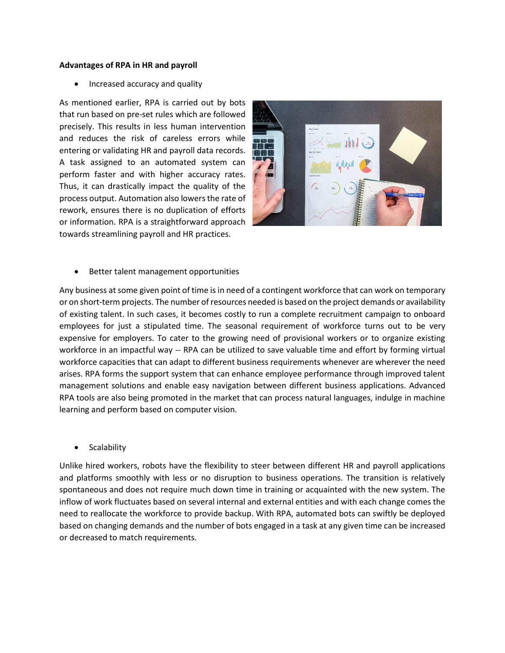## **Advantages of RPA in HR and payroll**

• Increased accuracy and quality

As mentioned earlier, RPA is carried out by bots that run based on pre-set rules which are followed precisely. This results in less human intervention and reduces the risk of careless errors while entering or validating HR and payroll data records. A task assigned to an automated system can perform faster and with higher accuracy rates. Thus, it can drastically impact the quality of the process output. Automation also lowers the rate of rework, ensures there is no duplication of efforts or information. RPA is a straightforward approach towards streamlining payroll and HR practices.



• Better talent management opportunities

Any business at some given point of time is in need of a contingent workforce that can work on temporary or on short-term projects. The number of resources needed is based on the project demands or availability of existing talent. In such cases, it becomes costly to run a complete recruitment campaign to onboard employees for just a stipulated time. The seasonal requirement of workforce turns out to be very expensive for employers. To cater to the growing need of provisional workers or to organize existing workforce in an impactful way -- RPA can be utilized to save valuable time and effort by forming virtual workforce capacities that can adapt to different business requirements whenever are wherever the need arises. RPA forms the support system that can enhance employee performance through improved talent management solutions and enable easy navigation between different business applications. Advanced RPA tools are also being promoted in the market that can process natural languages, indulge in machine learning and perform based on computer vision.

**Scalability** 

Unlike hired workers, robots have the flexibility to steer between different HR and payroll applications and platforms smoothly with less or no disruption to business operations. The transition is relatively spontaneous and does not require much down time in training or acquainted with the new system. The inflow of work fluctuates based on several internal and external entities and with each change comes the need to reallocate the workforce to provide backup. With RPA, automated bots can swiftly be deployed based on changing demands and the number of bots engaged in a task at any given time can be increased or decreased to match requirements.